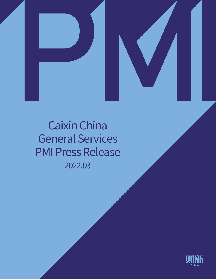



# 2022.03 Caixin China General Services PMI Press Release

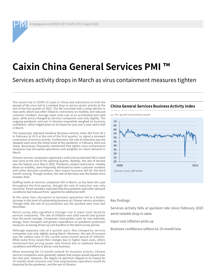Embargoed until 0945 CST (0145 UTC) 6 April 2022

### **Caixin China General Services PMI**

### Services activity drops in March as virus containment measures tighten

The recent rise in COVID-19 cases in China and restrictions to limit the spread of the virus led to a marked drop in service sector activity at the end of the first quarter of 2022. The fall coincided with a steep decline in new work, which was often linked to restrictions on mobility and reduced customer numbers. Average input costs rose at an accelerated and solid pace, while prices charged by services companies rose only slightly. The ongoing pandemic and war in Ukraine meanwhile weighed on business confidence, which edged down to its lowest for just over a year-and-a-half in March.

The seasonally adjusted headline Business Activity Index fell from 50.2 in February to 42.0 at the end of the first quarter, to signal a renewed contraction of services activity. Furthermore, the rate of reduction was the steepest seen since the initial onset of the pandemic in February 2020 and sharp. Businesses frequently mentioned that tighter virus containment measures had disrupted operations and weighed on client demand in March.

Chinese services companies registered a solid and accelerated fall in total new work at the end of the opening quarter. Notably, the rate of decline was the fastest since March 2020. Pandemic-related restrictions, notably those on mobility, were frequently attributed to lower customer numbers and softer demand conditions. New export business fell for the third month running. Though modest, the rate of decrease was the fastest since October 2020.

Staffing levels at services companies fell in March, as has been the case throughout the first quarter, though the rate of reduction was only fractional. Panel members indicated that the pandemic and softer demand conditions had reduced firms' appetite for additional staff.

At the same time, disruption to business operations led to a further increase in the level of outstanding business at Chinese service providers. Though mild, the rate of accumulation was the quickest seen since last December.

March survey data signalled a stronger rise in input costs faced by services companies. The rate of inflation was solid overall and quicker than the series average. Companies cited greater costs for raw materials, energy, food, transport and greater expenditure on pandemic-protection measures as having driven up cost burdens in the latest survey period.

Although expenses rose at a quicker pace, fees charged by services companies rose only slightly during March. Moreover, the rate of increase was the softest seen in the current seven-month period of inflation. While some firms raised their charges due to higher input costs, others mentioned that pricing power was limited due to subdued demand conditions and efforts to attract new business.

When assessing the 12-month outlook for business activity, Chinese services companies were generally upbeat that output would expand over the next year. However, the degree of optimism slipped to its lowest for 19 months amid concerns over how long business operations would be impacted by the pandemic, and the war in Ukraine.

#### **China General Services Business Activity Index**

 $sa$ ,  $>50$  = growth since previous month



#### Key findings:

Services activity falls at quickest rate since February 2020 amid notable drop in sales

Input cost inflation picks up

Business confidence softens to 19-month low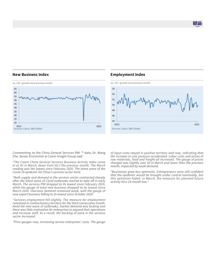则乱

#### **New Business Index**



#### **Employment Index**



Commenting on the China General Services PMI ™ data, Dr. Wang Zhe, Senior Economist at Caixin Insight Group said:

*"The Caixin China General Services Business Activity Index came in at 42 in March, down from 50.2 the previous month. The March reading was the lowest since February 2020. The latest wave of the Covid-19 epidemic hit China's services sector hard.* 

*"Both supply and demand in the services sector contracted sharply after the latest wave of Covid outbreaks started to take off in early March. The services PMI dropped to its lowest since February 2020, while the gauge of total new business dropped to its lowest since March 2020. Overseas demand remained weak, with the gauge of new export business falling to its lowest since October 2020.*

*"Services employment fell slightly. The measure for employment remained in contractionary territory for the third consecutive month. Amid the new wave of outbreaks, market demand was lacking and there was little motivation for enterprises to expand their operations and increase staff. As a result, the backlog of work in the services sector increased.*

*"Price gauges rose, increasing service enterprises' costs. The gauge* 

*of input costs stayed in positive territory and rose, indicating that the increase in cost pressure accelerated. Labor costs and prices of raw materials, food and freight all increased. The gauge of prices charged was slightly over 50 in March and lower than the previous month, impacted by weak demand.*

*"Businesses grew less optimistic. Entrepreneurs were still confident that the epidemic would be brought under control eventually, but this optimism faded. In March, the measure for planned future activity hit a 19-month low."*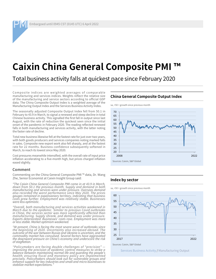Embargoed until 0945 CST (0145 UTC) 6 April 2022

## **Caixin China General Composite PMI**

Total business activity falls at quickest pace since February 2020

Composite indices are weighted averages of comparable manufacturing and services indices. Weights reflect the relative size of the manufacturing and service sectors according to official GDP data. The China Composite Output Index is a weighted average of the Manufacturing Output Index and the Services Business Activity Index.

The seasonally adjusted Composite Output Index fell from 50.1 in February to 43.9 in March, to signal a renewed and steep decline in total Chinese business activity. This signalled the first fall in output since last August, with the rate of reduction the quickest seen since the initial onset of the pandemic in February 2020. The reading reflected renewed falls in both manufacturing and services activity, with the latter noting the faster rate of decline.

Total new business likewise fell at the fastest rate for just over two years, with both goods producers and services companies noting marked falls in sales. Composite new export work also fell sharply, and at the fastest rate for 22 months. Business confidence subsequently softened in March, to reach its lowest since May 2020.

Cost pressures meanwhile intensified, with the overall rate of input price inflation accelerating to a five-month high, but prices charged inflation eased slightly.

#### **Comment**

Commenting on the China General Composite PMI ™ data, Dr. Wang Zhe, Senior Economist at Caixin Insight Group said:

*"The Caixin China General Composite PMI came in at 43.9 in March, down from 50.1 the previous month. Supply and demand in both manufacturing and services were under pressure. Overseas demand also recorded the worst performance since May 2020. The prices gauges remained in expansionary territory, indicating that business costs grew further. Employment was relatively stable. Businesses were less optimistic.*

*"Overall, both manufacturing and services activities weakened in March due to the epidemic. Similar to previous Covid outbreaks in China, the services sector was more significantly affected than manufacturing. Supply shrank, and demand was under pressure. Exports deteriorated. Businesses' costs rose. Employment was more or less stable. Market optimism weakened.*

*"At present, China is facing the most severe wave of outbreaks since the beginning of 2020. Uncertainty also increased abroad. The outcome of the war between Russia and Ukraine is uncertain, and the commodity market has convulsed. Several factors have aggravated the downward pressure on China's economy and underscore the risk of stagflation.* 

*"Policymakers are facing double challenges of "precision" improving the precision of epidemic control measures to strike a balance between maintaining normal life and guarding the people's health; ensuring fiscal and monetary policy are implemented precisely. Policymakers should look out for vulnerable groups and enhance support for key industries and small and micro businesses to stabilize market expectations."*

#### **China General Composite Output Index**



#### **Index by sector**



Sources: Caixin, S&P Global

Services Business Activity / Manufacturing Output